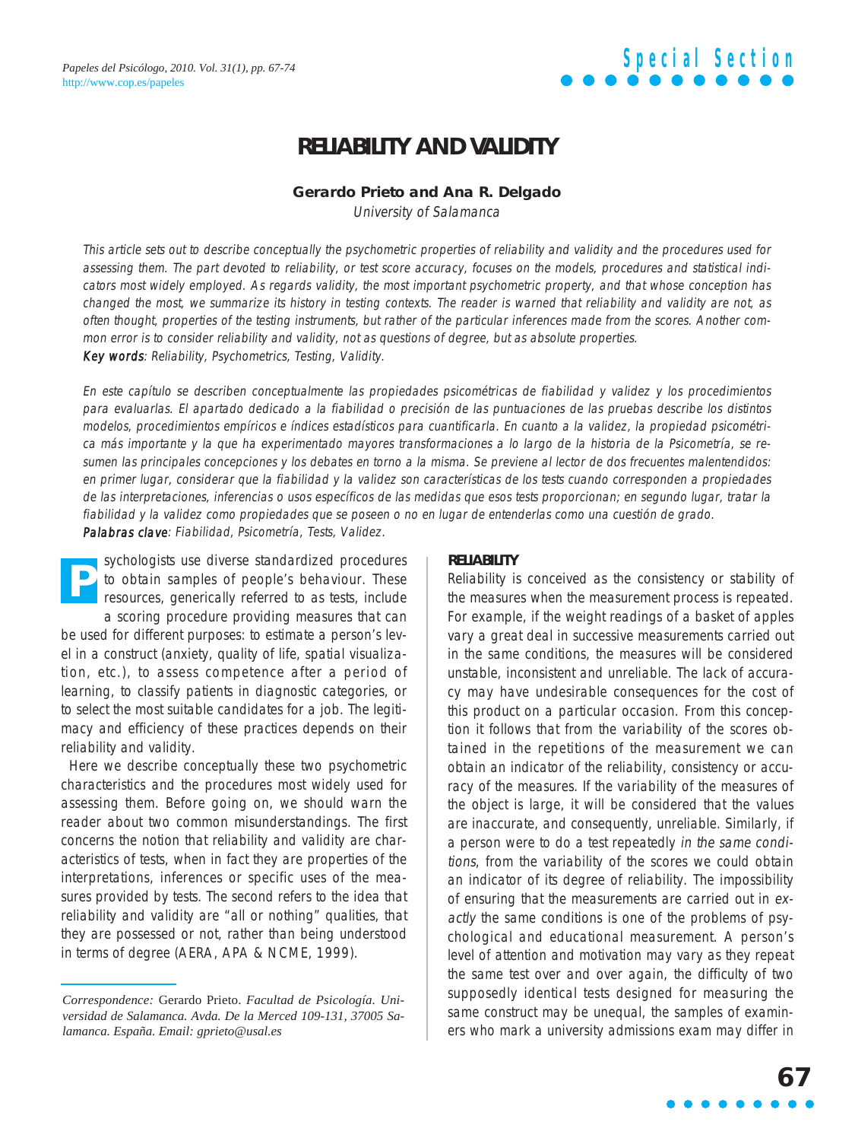### **RELIABILITY AND VALIDITY**

### **Gerardo Prieto and Ana R. Delgado**

University of Salamanca

This article sets out to describe conceptually the psychometric properties of reliability and validity and the procedures used for assessing them. The part devoted to reliability, or test score accuracy, focuses on the models, procedures and statistical indicators most widely employed. As regards validity, the most important psychometric property, and that whose conception has changed the most, we summarize its history in testing contexts. The reader is warned that reliability and validity are not, as often thought, properties of the testing instruments, but rather of the particular inferences made from the scores. Another common error is to consider reliability and validity, not as questions of degree, but as absolute properties. Key words: Reliability, Psychometrics, Testing, Validity.

En este capítulo se describen conceptualmente las propiedades psicométricas de fiabilidad y validez y los procedimientos para evaluarlas. El apartado dedicado a la fiabilidad o precisión de las puntuaciones de las pruebas describe los distintos modelos, procedimientos empíricos e índices estadísticos para cuantificarla. En cuanto a la validez, la propiedad psicométrica más importante y la que ha experimentado mayores transformaciones a lo largo de la historia de la Psicometría, se resumen las principales concepciones y los debates en torno a la misma. Se previene al lector de dos frecuentes malentendidos: en primer lugar, considerar que la fiabilidad y la validez son características de los tests cuando corresponden a propiedades de las interpretaciones, inferencias o usos específicos de las medidas que esos tests proporcionan; en segundo lugar, tratar la fiabilidad y la validez como propiedades que se poseen o no en lugar de entenderlas como una cuestión de grado.

Palabras clave: Fiabilidad, Psicometría, Tests, Validez.

sychologists use diverse standardized procedures to obtain samples of people's behaviour. These resources, generically referred to as tests, include a scoring procedure providing measures that can be used for different purposes: to estimate a person's level in a construct (anxiety, quality of life, spatial visualization, etc.), to assess competence after a period of learning, to classify patients in diagnostic categories, or to select the most suitable candidates for a job. The legitimacy and efficiency of these practices depends on their reliability and validity. **P**

Here we describe conceptually these two psychometric characteristics and the procedures most widely used for assessing them. Before going on, we should warn the reader about two common misunderstandings. The first concerns the notion that reliability and validity are characteristics of tests, when in fact they are properties of the interpretations, inferences or specific uses of the measures provided by tests. The second refers to the idea that reliability and validity are "all or nothing" qualities, that they are possessed or not, rather than being understood in terms of degree (AERA, APA & NCME, 1999).

### **RELIABILITY**

Reliability is conceived as the consistency or stability of the measures when the measurement process is repeated. For example, if the weight readings of a basket of apples vary a great deal in successive measurements carried out in the same conditions, the measures will be considered unstable, inconsistent and unreliable. The lack of accuracy may have undesirable consequences for the cost of this product on a particular occasion. From this conception it follows that from the variability of the scores obtained in the repetitions of the measurement we can obtain an indicator of the reliability, consistency or accuracy of the measures. If the variability of the measures of the object is large, it will be considered that the values are inaccurate, and consequently, unreliable. Similarly, if a person were to do a test repeatedly in the same conditions, from the variability of the scores we could obtain an indicator of its degree of reliability. The impossibility of ensuring that the measurements are carried out in exactly the same conditions is one of the problems of psychological and educational measurement. A person's level of attention and motivation may vary as they repeat the same test over and over again, the difficulty of two supposedly identical tests designed for measuring the same construct may be unequal, the samples of examiners who mark a university admissions exam may differ in

*Correspondence:* Gerardo Prieto. *Facultad de Psicología. Universidad de Salamanca. Avda. De la Merced 109-131, 37005 Salamanca. España. Email: gprieto@usal.es*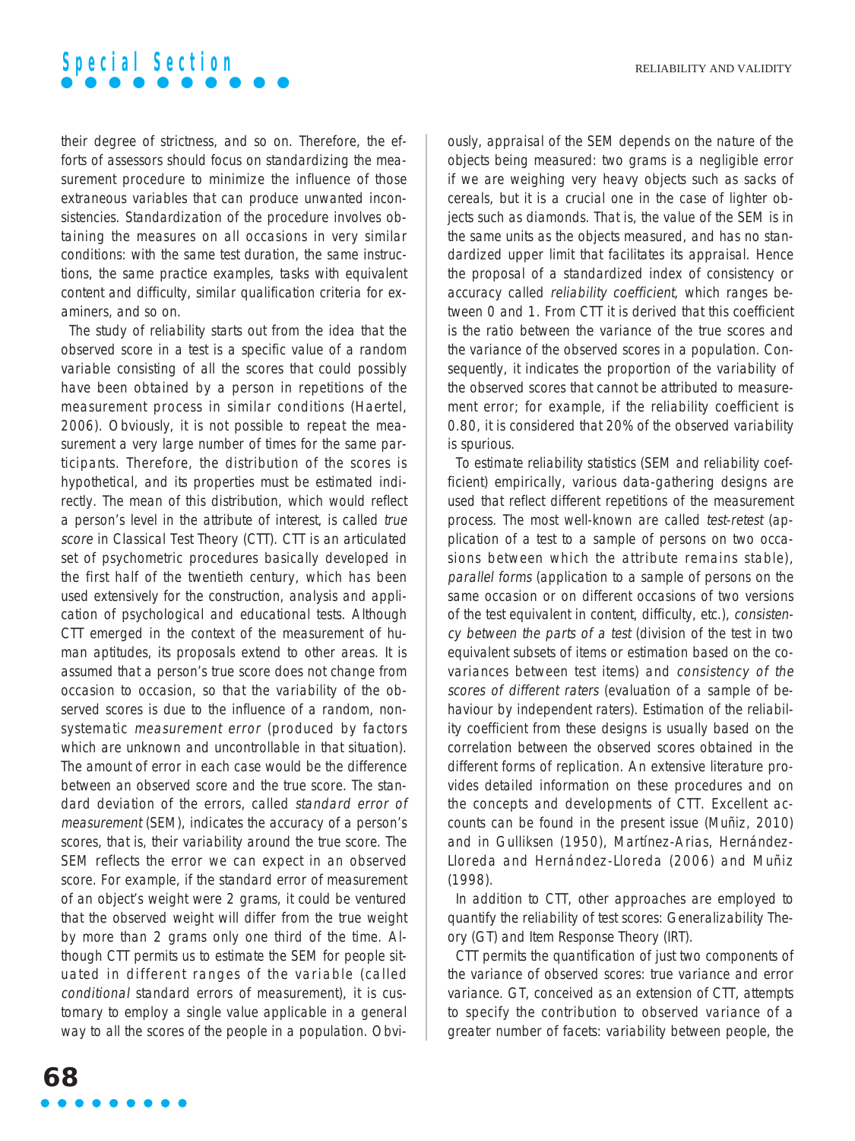their degree of strictness, and so on. Therefore, the efforts of assessors should focus on standardizing the measurement procedure to minimize the influence of those extraneous variables that can produce unwanted inconsistencies. Standardization of the procedure involves obtaining the measures on all occasions in very similar conditions: with the same test duration, the same instructions, the same practice examples, tasks with equivalent content and difficulty, similar qualification criteria for examiners, and so on.

The study of reliability starts out from the idea that the observed score in a test is a specific value of a random variable consisting of all the scores that could possibly have been obtained by a person in repetitions of the measurement process in similar conditions (Haertel, 2006). Obviously, it is not possible to repeat the measurement a very large number of times for the same participants. Therefore, the distribution of the scores is hypothetical, and its properties must be estimated indirectly. The mean of this distribution, which would reflect a person's level in the attribute of interest, is called true score in Classical Test Theory (CTT). CTT is an articulated set of psychometric procedures basically developed in the first half of the twentieth century, which has been used extensively for the construction, analysis and application of psychological and educational tests. Although CTT emerged in the context of the measurement of human aptitudes, its proposals extend to other areas. It is assumed that a person's true score does not change from occasion to occasion, so that the variability of the observed scores is due to the influence of a random, nonsystematic measurement error (produced by factors which are unknown and uncontrollable in that situation). The amount of error in each case would be the difference between an observed score and the true score. The standard deviation of the errors, called standard error of measurement (SEM), indicates the accuracy of a person's scores, that is, their variability around the true score. The SEM reflects the error we can expect in an observed score. For example, if the standard error of measurement of an object's weight were 2 grams, it could be ventured that the observed weight will differ from the true weight by more than 2 grams only one third of the time. Although CTT permits us to estimate the SEM for people situated in different ranges of the variable (called conditional standard errors of measurement), it is customary to employ a single value applicable in a general way to all the scores of the people in a population. Obviously, appraisal of the SEM depends on the nature of the objects being measured: two grams is a negligible error if we are weighing very heavy objects such as sacks of cereals, but it is a crucial one in the case of lighter objects such as diamonds. That is, the value of the SEM is in the same units as the objects measured, and has no standardized upper limit that facilitates its appraisal. Hence the proposal of a standardized index of consistency or accuracy called reliability coefficient, which ranges between 0 and 1. From CTT it is derived that this coefficient is the ratio between the variance of the true scores and the variance of the observed scores in a population. Consequently, it indicates the proportion of the variability of the observed scores that cannot be attributed to measurement error; for example, if the reliability coefficient is 0.80, it is considered that 20% of the observed variability is spurious.

To estimate reliability statistics (SEM and reliability coefficient) empirically, various data-gathering designs are used that reflect different repetitions of the measurement process. The most well-known are called test-retest (application of a test to a sample of persons on two occasions between which the attribute remains stable), parallel forms (application to a sample of persons on the same occasion or on different occasions of two versions of the test equivalent in content, difficulty, etc.), consistency between the parts of a test (division of the test in two equivalent subsets of items or estimation based on the covariances between test items) and consistency of the scores of different raters (evaluation of a sample of behaviour by independent raters). Estimation of the reliability coefficient from these designs is usually based on the correlation between the observed scores obtained in the different forms of replication. An extensive literature provides detailed information on these procedures and on the concepts and developments of CTT. Excellent accounts can be found in the present issue (Muñiz, 2010) and in Gulliksen (1950), Martínez-Arias, Hernández-Lloreda and Hernández-Lloreda (2006) and Muñiz (1998).

In addition to CTT, other approaches are employed to quantify the reliability of test scores: Generalizability Theory (GT) and Item Response Theory (IRT).

CTT permits the quantification of just two components of the variance of observed scores: true variance and error variance. GT, conceived as an extension of CTT, attempts to specify the contribution to observed variance of a greater number of facets: variability between people, the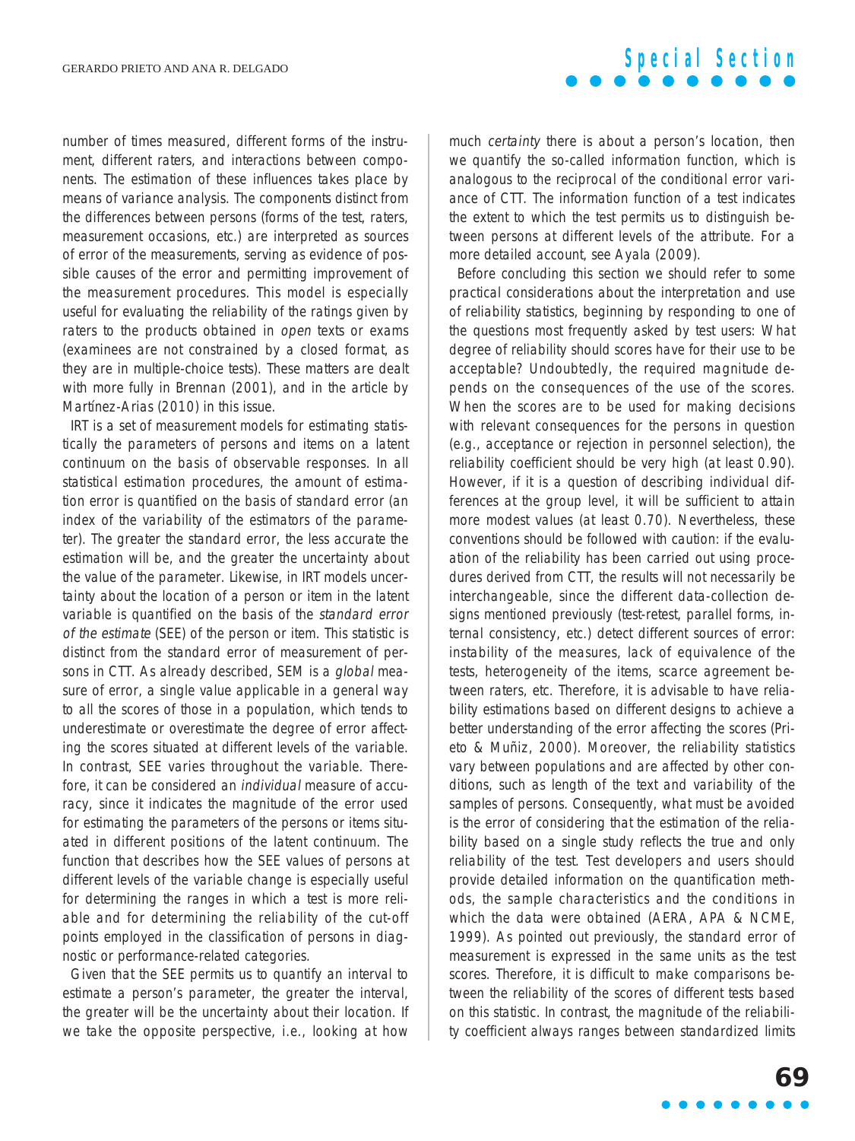### number of times measured, different forms of the instrument, different raters, and interactions between components. The estimation of these influences takes place by means of variance analysis. The components distinct from the differences between persons (forms of the test, raters, measurement occasions, etc.) are interpreted as sources of error of the measurements, serving as evidence of possible causes of the error and permitting improvement of the measurement procedures. This model is especially useful for evaluating the reliability of the ratings given by raters to the products obtained in open texts or exams (examinees are not constrained by a closed format, as they are in multiple-choice tests). These matters are dealt with more fully in Brennan (2001), and in the article by Martínez-Arias (2010) in this issue.

IRT is a set of measurement models for estimating statistically the parameters of persons and items on a latent continuum on the basis of observable responses. In all statistical estimation procedures, the amount of estimation error is quantified on the basis of standard error (an index of the variability of the estimators of the parameter). The greater the standard error, the less accurate the estimation will be, and the greater the uncertainty about the value of the parameter. Likewise, in IRT models uncertainty about the location of a person or item in the latent variable is quantified on the basis of the standard error of the estimate (SEE) of the person or item. This statistic is distinct from the standard error of measurement of persons in CTT. As already described, SEM is a global measure of error, a single value applicable in a general way to all the scores of those in a population, which tends to underestimate or overestimate the degree of error affecting the scores situated at different levels of the variable. In contrast, SEE varies throughout the variable. Therefore, it can be considered an individual measure of accuracy, since it indicates the magnitude of the error used for estimating the parameters of the persons or items situated in different positions of the latent continuum. The function that describes how the SEE values of persons at different levels of the variable change is especially useful for determining the ranges in which a test is more reliable and for determining the reliability of the cut-off points employed in the classification of persons in diagnostic or performance-related categories.

Given that the SEE permits us to quantify an interval to estimate a person's parameter, the greater the interval, the greater will be the uncertainty about their location. If we take the opposite perspective, i.e., looking at how

### much certainty there is about a person's location, then we quantify the so-called information function, which is analogous to the reciprocal of the conditional error variance of CTT. The information function of a test indicates the extent to which the test permits us to distinguish between persons at different levels of the attribute. For a more detailed account, see Ayala (2009).

**Special Section**

Before concluding this section we should refer to some practical considerations about the interpretation and use of reliability statistics, beginning by responding to one of the questions most frequently asked by test users: What degree of reliability should scores have for their use to be acceptable? Undoubtedly, the required magnitude depends on the consequences of the use of the scores. When the scores are to be used for making decisions with relevant consequences for the persons in question (e.g., acceptance or rejection in personnel selection), the reliability coefficient should be very high (at least 0.90). However, if it is a question of describing individual differences at the group level, it will be sufficient to attain more modest values (at least 0.70). Nevertheless, these conventions should be followed with caution: if the evaluation of the reliability has been carried out using procedures derived from CTT, the results will not necessarily be interchangeable, since the different data-collection designs mentioned previously (test-retest, parallel forms, internal consistency, etc.) detect different sources of error: instability of the measures, lack of equivalence of the tests, heterogeneity of the items, scarce agreement between raters, etc. Therefore, it is advisable to have reliability estimations based on different designs to achieve a better understanding of the error affecting the scores (Prieto & Muñiz, 2000). Moreover, the reliability statistics vary between populations and are affected by other conditions, such as length of the text and variability of the samples of persons. Consequently, what must be avoided is the error of considering that the estimation of the reliability based on a single study reflects the true and only reliability of the test. Test developers and users should provide detailed information on the quantification methods, the sample characteristics and the conditions in which the data were obtained (AERA, APA & NCME, 1999). As pointed out previously, the standard error of measurement is expressed in the same units as the test scores. Therefore, it is difficult to make comparisons between the reliability of the scores of different tests based on this statistic. In contrast, the magnitude of the reliability coefficient always ranges between standardized limits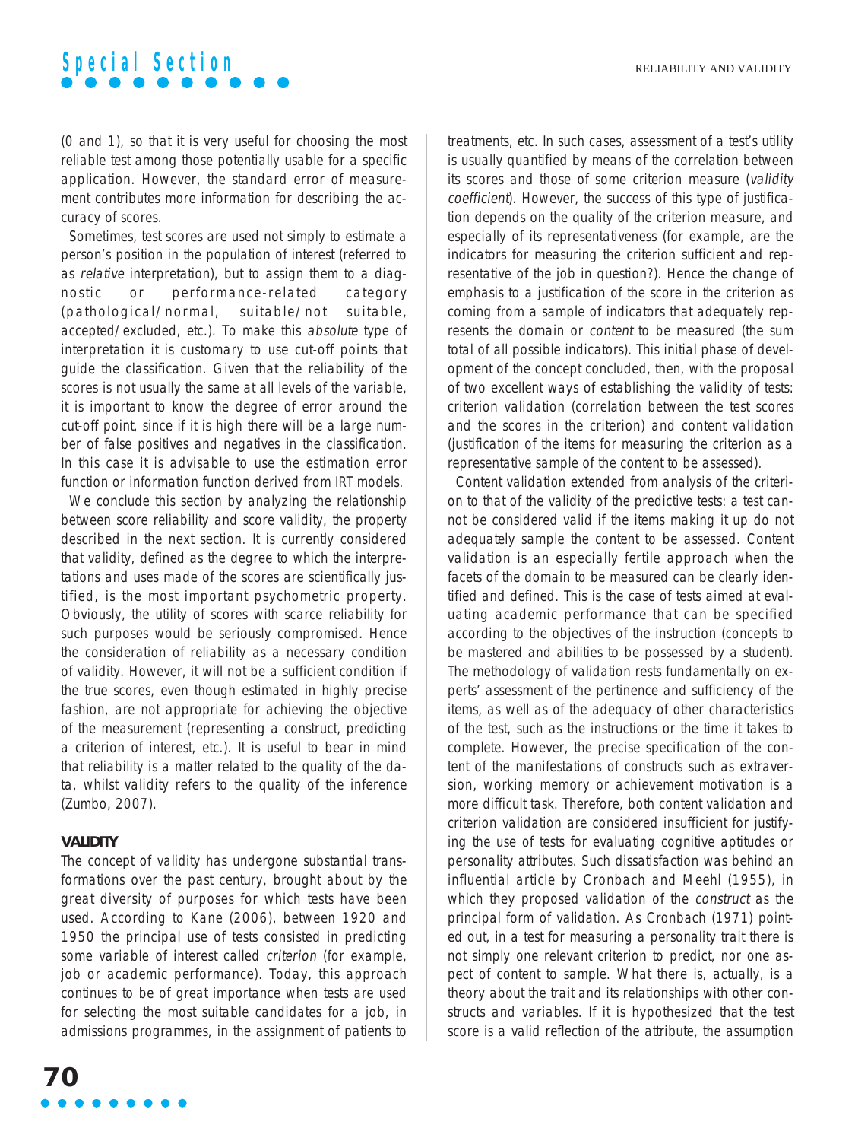(0 and 1), so that it is very useful for choosing the most reliable test among those potentially usable for a specific application. However, the standard error of measurement contributes more information for describing the accuracy of scores.

Sometimes, test scores are used not simply to estimate a person's position in the population of interest (referred to as relative interpretation), but to assign them to a diagnostic or performance-related category (pathological/normal, suitable/not suitable, accepted/excluded, etc.). To make this absolute type of interpretation it is customary to use cut-off points that guide the classification. Given that the reliability of the scores is not usually the same at all levels of the variable, it is important to know the degree of error around the cut-off point, since if it is high there will be a large number of false positives and negatives in the classification. In this case it is advisable to use the estimation error function or information function derived from IRT models.

We conclude this section by analyzing the relationship between score reliability and score validity, the property described in the next section. It is currently considered that validity, defined as the degree to which the interpretations and uses made of the scores are scientifically justified, is the most important psychometric property. Obviously, the utility of scores with scarce reliability for such purposes would be seriously compromised. Hence the consideration of reliability as a necessary condition of validity. However, it will not be a sufficient condition if the true scores, even though estimated in highly precise fashion, are not appropriate for achieving the objective of the measurement (representing a construct, predicting a criterion of interest, etc.). It is useful to bear in mind that reliability is a matter related to the quality of the data, whilst validity refers to the quality of the inference (Zumbo, 2007).

#### **VALIDITY**

The concept of validity has undergone substantial transformations over the past century, brought about by the great diversity of purposes for which tests have been used. According to Kane (2006), between 1920 and 1950 the principal use of tests consisted in predicting some variable of interest called criterion (for example, job or academic performance). Today, this approach continues to be of great importance when tests are used for selecting the most suitable candidates for a job, in admissions programmes, in the assignment of patients to

**70**

treatments, etc. In such cases, assessment of a test's utility is usually quantified by means of the correlation between its scores and those of some criterion measure (validity coefficient). However, the success of this type of justification depends on the quality of the criterion measure, and especially of its representativeness (for example, are the indicators for measuring the criterion sufficient and representative of the job in question?). Hence the change of emphasis to a justification of the score in the criterion as coming from a sample of indicators that adequately represents the domain or content to be measured (the sum total of all possible indicators). This initial phase of development of the concept concluded, then, with the proposal of two excellent ways of establishing the validity of tests: criterion validation (correlation between the test scores and the scores in the criterion) and content validation (justification of the items for measuring the criterion as a representative sample of the content to be assessed).

Content validation extended from analysis of the criterion to that of the validity of the predictive tests: a test cannot be considered valid if the items making it up do not adequately sample the content to be assessed. Content validation is an especially fertile approach when the facets of the domain to be measured can be clearly identified and defined. This is the case of tests aimed at evaluating academic performance that can be specified according to the objectives of the instruction (concepts to be mastered and abilities to be possessed by a student). The methodology of validation rests fundamentally on experts' assessment of the pertinence and sufficiency of the items, as well as of the adequacy of other characteristics of the test, such as the instructions or the time it takes to complete. However, the precise specification of the content of the manifestations of constructs such as extraversion, working memory or achievement motivation is a more difficult task. Therefore, both content validation and criterion validation are considered insufficient for justifying the use of tests for evaluating cognitive aptitudes or personality attributes. Such dissatisfaction was behind an influential article by Cronbach and Meehl (1955), in which they proposed validation of the construct as the principal form of validation. As Cronbach (1971) pointed out, in a test for measuring a personality trait there is not simply one relevant criterion to predict, nor one aspect of content to sample. What there is, actually, is a theory about the trait and its relationships with other constructs and variables. If it is hypothesized that the test score is a valid reflection of the attribute, the assumption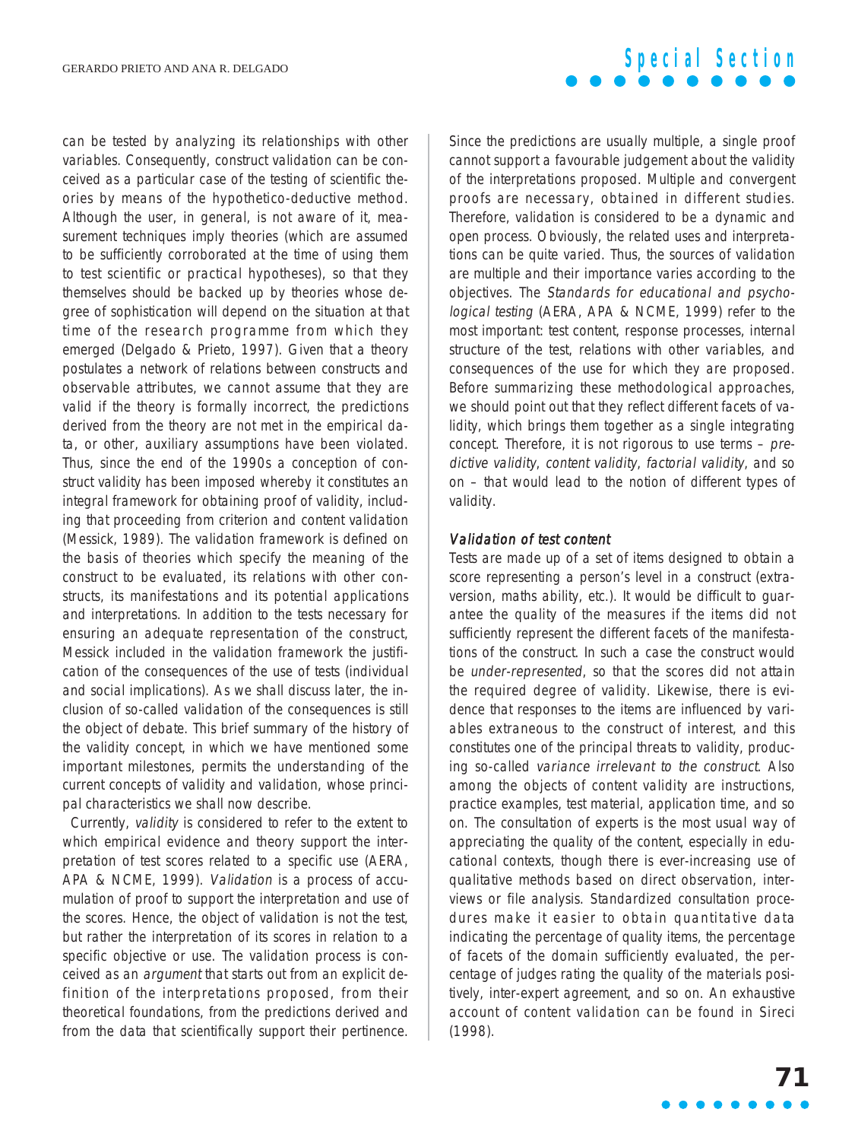can be tested by analyzing its relationships with other variables. Consequently, construct validation can be conceived as a particular case of the testing of scientific theories by means of the hypothetico-deductive method. Although the user, in general, is not aware of it, measurement techniques imply theories (which are assumed to be sufficiently corroborated at the time of using them to test scientific or practical hypotheses), so that they themselves should be backed up by theories whose degree of sophistication will depend on the situation at that time of the research programme from which they emerged (Delgado & Prieto, 1997). Given that a theory postulates a network of relations between constructs and observable attributes, we cannot assume that they are valid if the theory is formally incorrect, the predictions derived from the theory are not met in the empirical data, or other, auxiliary assumptions have been violated. Thus, since the end of the 1990s a conception of construct validity has been imposed whereby it constitutes an integral framework for obtaining proof of validity, including that proceeding from criterion and content validation (Messick, 1989). The validation framework is defined on the basis of theories which specify the meaning of the construct to be evaluated, its relations with other constructs, its manifestations and its potential applications and interpretations. In addition to the tests necessary for ensuring an adequate representation of the construct, Messick included in the validation framework the justification of the consequences of the use of tests (individual and social implications). As we shall discuss later, the inclusion of so-called validation of the consequences is still the object of debate. This brief summary of the history of the validity concept, in which we have mentioned some important milestones, permits the understanding of the current concepts of validity and validation, whose principal characteristics we shall now describe.

Currently, validity is considered to refer to the extent to which empirical evidence and theory support the interpretation of test scores related to a specific use (AERA, APA & NCME, 1999). Validation is a process of accumulation of proof to support the interpretation and use of the scores. Hence, the object of validation is not the test, but rather the interpretation of its scores in relation to a specific objective or use. The validation process is conceived as an argument that starts out from an explicit definition of the interpretations proposed, from their theoretical foundations, from the predictions derived and from the data that scientifically support their pertinence.

Since the predictions are usually multiple, a single proof cannot support a favourable judgement about the validity of the interpretations proposed. Multiple and convergent proofs are necessary, obtained in different studies. Therefore, validation is considered to be a dynamic and open process. Obviously, the related uses and interpretations can be quite varied. Thus, the sources of validation are multiple and their importance varies according to the objectives. The Standards for educational and psychological testing (AERA, APA & NCME, 1999) refer to the most important: test content, response processes, internal structure of the test, relations with other variables, and consequences of the use for which they are proposed. Before summarizing these methodological approaches, we should point out that they reflect different facets of validity, which brings them together as a single integrating concept. Therefore, it is not rigorous to use terms – predictive validity, content validity, factorial validity, and so on – that would lead to the notion of different types of validity.

#### Validation of test content

Tests are made up of a set of items designed to obtain a score representing a person's level in a construct (extraversion, maths ability, etc.). It would be difficult to guarantee the quality of the measures if the items did not sufficiently represent the different facets of the manifestations of the construct. In such a case the construct would be under-represented, so that the scores did not attain the required degree of validity. Likewise, there is evidence that responses to the items are influenced by variables extraneous to the construct of interest, and this constitutes one of the principal threats to validity, producing so-called variance irrelevant to the construct. Also among the objects of content validity are instructions, practice examples, test material, application time, and so on. The consultation of experts is the most usual way of appreciating the quality of the content, especially in educational contexts, though there is ever-increasing use of qualitative methods based on direct observation, interviews or file analysis. Standardized consultation procedures make it easier to obtain quantitative data indicating the percentage of quality items, the percentage of facets of the domain sufficiently evaluated, the percentage of judges rating the quality of the materials positively, inter-expert agreement, and so on. An exhaustive account of content validation can be found in Sireci (1998).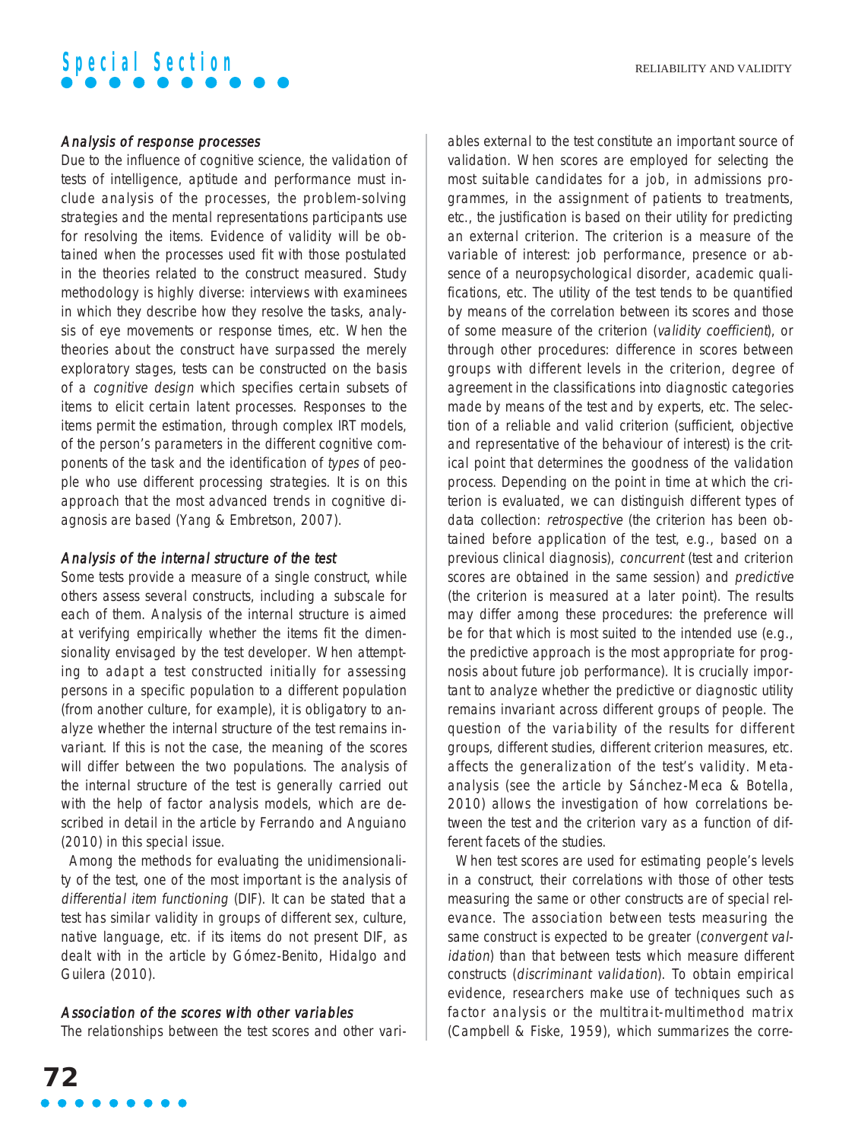### Analysis of response processes

Due to the influence of cognitive science, the validation of tests of intelligence, aptitude and performance must include analysis of the processes, the problem-solving strategies and the mental representations participants use for resolving the items. Evidence of validity will be obtained when the processes used fit with those postulated in the theories related to the construct measured. Study methodology is highly diverse: interviews with examinees in which they describe how they resolve the tasks, analysis of eye movements or response times, etc. When the theories about the construct have surpassed the merely exploratory stages, tests can be constructed on the basis of a cognitive design which specifies certain subsets of items to elicit certain latent processes. Responses to the items permit the estimation, through complex IRT models, of the person's parameters in the different cognitive components of the task and the identification of types of people who use different processing strategies. It is on this approach that the most advanced trends in cognitive diagnosis are based (Yang & Embretson, 2007).

### Analysis of the internal structure of the test

Some tests provide a measure of a single construct, while others assess several constructs, including a subscale for each of them. Analysis of the internal structure is aimed at verifying empirically whether the items fit the dimensionality envisaged by the test developer. When attempting to adapt a test constructed initially for assessing persons in a specific population to a different population (from another culture, for example), it is obligatory to analyze whether the internal structure of the test remains invariant. If this is not the case, the meaning of the scores will differ between the two populations. The analysis of the internal structure of the test is generally carried out with the help of factor analysis models, which are described in detail in the article by Ferrando and Anguiano (2010) in this special issue.

Among the methods for evaluating the unidimensionality of the test, one of the most important is the analysis of differential item functioning (DIF). It can be stated that a test has similar validity in groups of different sex, culture, native language, etc. if its items do not present DIF, as dealt with in the article by Gómez-Benito, Hidalgo and Guilera (2010).

### Association of the scores with other variables

The relationships between the test scores and other vari-

ables external to the test constitute an important source of validation. When scores are employed for selecting the most suitable candidates for a job, in admissions programmes, in the assignment of patients to treatments, etc., the justification is based on their utility for predicting an external criterion. The criterion is a measure of the variable of interest: job performance, presence or absence of a neuropsychological disorder, academic qualifications, etc. The utility of the test tends to be quantified by means of the correlation between its scores and those of some measure of the criterion (validity coefficient), or through other procedures: difference in scores between groups with different levels in the criterion, degree of agreement in the classifications into diagnostic categories made by means of the test and by experts, etc. The selection of a reliable and valid criterion (sufficient, objective and representative of the behaviour of interest) is the critical point that determines the goodness of the validation process. Depending on the point in time at which the criterion is evaluated, we can distinguish different types of data collection: retrospective (the criterion has been obtained before application of the test, e.g., based on a previous clinical diagnosis), concurrent (test and criterion scores are obtained in the same session) and predictive (the criterion is measured at a later point). The results may differ among these procedures: the preference will be for that which is most suited to the intended use (e.g., the predictive approach is the most appropriate for prognosis about future job performance). It is crucially important to analyze whether the predictive or diagnostic utility remains invariant across different groups of people. The question of the variability of the results for different groups, different studies, different criterion measures, etc. affects the generalization of the test's validity. Metaanalysis (see the article by Sánchez-Meca & Botella, 2010) allows the investigation of how correlations between the test and the criterion vary as a function of different facets of the studies.

When test scores are used for estimating people's levels in a construct, their correlations with those of other tests measuring the same or other constructs are of special relevance. The association between tests measuring the same construct is expected to be greater (convergent validation) than that between tests which measure different constructs (discriminant validation). To obtain empirical evidence, researchers make use of techniques such as factor analysis or the multitrait-multimethod matrix (Campbell & Fiske, 1959), which summarizes the corre-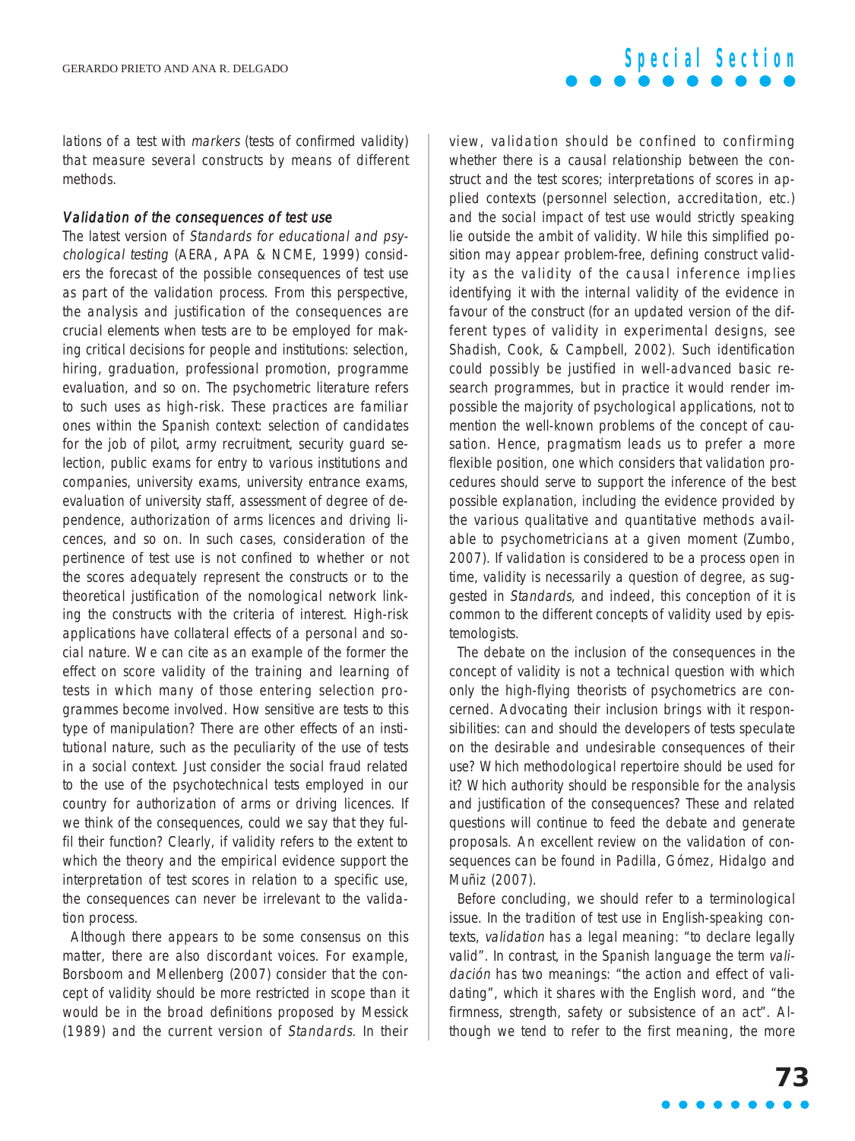lations of a test with markers (tests of confirmed validity) that measure several constructs by means of different methods.

#### Validation of the consequences of test use

The latest version of Standards for educational and psychological testing (AERA, APA & NCME, 1999) considers the forecast of the possible consequences of test use as part of the validation process. From this perspective, the analysis and justification of the consequences are crucial elements when tests are to be employed for making critical decisions for people and institutions: selection, hiring, graduation, professional promotion, programme evaluation, and so on. The psychometric literature refers to such uses as high-risk. These practices are familiar ones within the Spanish context: selection of candidates for the job of pilot, army recruitment, security guard selection, public exams for entry to various institutions and companies, university exams, university entrance exams, evaluation of university staff, assessment of degree of dependence, authorization of arms licences and driving licences, and so on. In such cases, consideration of the pertinence of test use is not confined to whether or not the scores adequately represent the constructs or to the theoretical justification of the nomological network linking the constructs with the criteria of interest. High-risk applications have collateral effects of a personal and social nature. We can cite as an example of the former the effect on score validity of the training and learning of tests in which many of those entering selection programmes become involved. How sensitive are tests to this type of manipulation? There are other effects of an institutional nature, such as the peculiarity of the use of tests in a social context. Just consider the social fraud related to the use of the psychotechnical tests employed in our country for authorization of arms or driving licences. If we think of the consequences, could we say that they fulfil their function? Clearly, if validity refers to the extent to which the theory and the empirical evidence support the interpretation of test scores in relation to a specific use, the consequences can never be irrelevant to the validation process.

Although there appears to be some consensus on this matter, there are also discordant voices. For example, Borsboom and Mellenberg (2007) consider that the concept of validity should be more restricted in scope than it would be in the broad definitions proposed by Messick (1989) and the current version of Standards. In their

view, validation should be confined to confirming whether there is a causal relationship between the construct and the test scores; interpretations of scores in applied contexts (personnel selection, accreditation, etc.) and the social impact of test use would strictly speaking lie outside the ambit of validity. While this simplified position may appear problem-free, defining construct validity as the validity of the causal inference implies identifying it with the internal validity of the evidence in favour of the construct (for an updated version of the different types of validity in experimental designs, see Shadish, Cook, & Campbell, 2002). Such identification could possibly be justified in well-advanced basic research programmes, but in practice it would render impossible the majority of psychological applications, not to mention the well-known problems of the concept of causation. Hence, pragmatism leads us to prefer a more flexible position, one which considers that validation procedures should serve to support the inference of the best possible explanation, including the evidence provided by the various qualitative and quantitative methods available to psychometricians at a given moment (Zumbo, 2007). If validation is considered to be a process open in time, validity is necessarily a question of degree, as suggested in Standards, and indeed, this conception of it is common to the different concepts of validity used by epistemologists.

The debate on the inclusion of the consequences in the concept of validity is not a technical question with which only the high-flying theorists of psychometrics are concerned. Advocating their inclusion brings with it responsibilities: can and should the developers of tests speculate on the desirable and undesirable consequences of their use? Which methodological repertoire should be used for it? Which authority should be responsible for the analysis and justification of the consequences? These and related questions will continue to feed the debate and generate proposals. An excellent review on the validation of consequences can be found in Padilla, Gómez, Hidalgo and Muñiz (2007).

Before concluding, we should refer to a terminological issue. In the tradition of test use in English-speaking contexts, validation has a legal meaning: "to declare legally valid". In contrast, in the Spanish language the term validación has two meanings: "the action and effect of validating", which it shares with the English word, and "the firmness, strength, safety or subsistence of an act". Although we tend to refer to the first meaning, the more